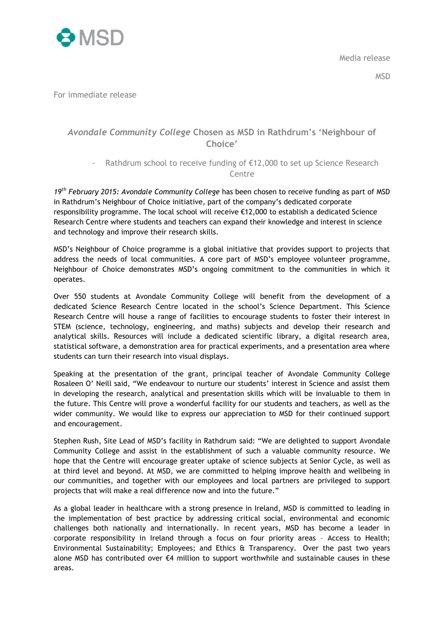

For immediate release

## *Avondale Community College* **Chosen as MSD in Rathdrum's 'Neighbour of Choice'**

Rathdrum school to receive funding of €12,000 to set up Science Research Centre

*19th February 2015: Avondale Community College* has been chosen to receive funding as part of MSD in Rathdrum's Neighbour of Choice initiative, part of the company's dedicated corporate responsibility programme. The local school will receive €12,000 to establish a dedicated Science Research Centre where students and teachers can expand their knowledge and interest in science and technology and improve their research skills.

MSD's Neighbour of Choice programme is a global initiative that provides support to projects that address the needs of local communities. A core part of MSD's employee volunteer programme, Neighbour of Choice demonstrates MSD's ongoing commitment to the communities in which it operates.

Over 550 students at Avondale Community College will benefit from the development of a dedicated Science Research Centre located in the school's Science Department. This Science Research Centre will house a range of facilities to encourage students to foster their interest in STEM (science, technology, engineering, and maths) subjects and develop their research and analytical skills. Resources will include a dedicated scientific library, a digital research area, statistical software, a demonstration area for practical experiments, and a presentation area where students can turn their research into visual displays.

Speaking at the presentation of the grant, principal teacher of Avondale Community College Rosaleen O' Neill said, "We endeavour to nurture our students' interest in Science and assist them in developing the research, analytical and presentation skills which will be invaluable to them in the future. This Centre will prove a wonderful facility for our students and teachers, as well as the wider community. We would like to express our appreciation to MSD for their continued support and encouragement.

Stephen Rush, Site Lead of MSD's facility in Rathdrum said: "We are delighted to support Avondale Community College and assist in the establishment of such a valuable community resource. We hope that the Centre will encourage greater uptake of science subjects at Senior Cycle, as well as at third level and beyond. At MSD, we are committed to helping improve health and wellbeing in our communities, and together with our employees and local partners are privileged to support projects that will make a real difference now and into the future."

As a global leader in healthcare with a strong presence in Ireland, MSD is committed to leading in the implementation of best practice by addressing critical social, environmental and economic challenges both nationally and internationally. In recent years, MSD has become a leader in corporate responsibility in Ireland through a focus on four priority areas – Access to Health; Environmental Sustainability; Employees; and Ethics & Transparency. Over the past two years alone MSD has contributed over €4 million to support worthwhile and sustainable causes in these areas.